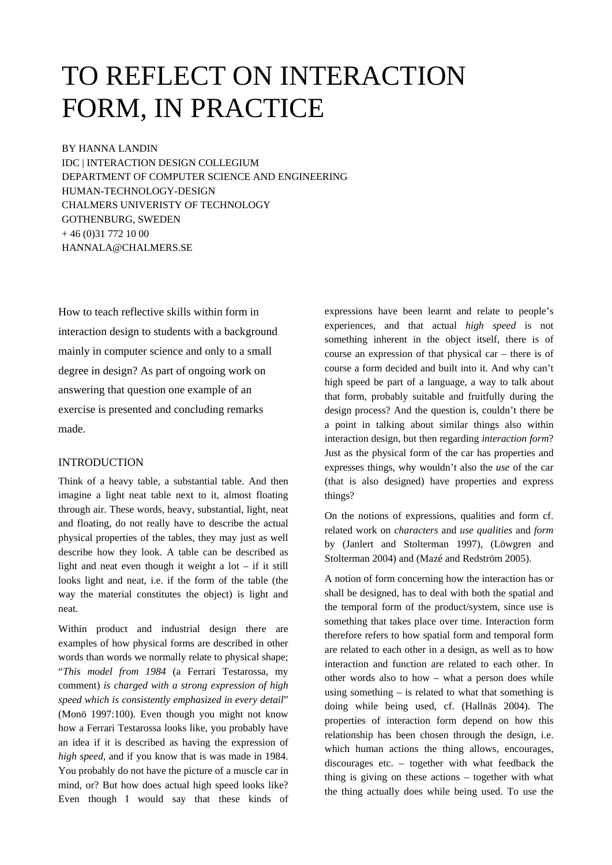# TO REFLECT ON INTERACTION FORM, IN PRACTICE

BY HANNA LANDIN

IDC | INTERACTION DESIGN COLLEGIUM DEPARTMENT OF COMPUTER SCIENCE AND ENGINEERING HUMAN-TECHNOLOGY-DESIGN CHALMERS UNIVERISTY OF TECHNOLOGY GOTHENBURG, SWEDEN  $+ 46 (0)31 772 10 00$ [HANNALA@CHALMERS.SE](mailto:JOHANSSON@EMAIL.COM)

How to teach reflective skills within form in interaction design to students with a background mainly in computer science and only to a small degree in design? As part of ongoing work on answering that question one example of an exercise is presented and concluding remarks made.

## INTRODUCTION

Think of a heavy table, a substantial table. And then imagine a light neat table next to it, almost floating through air. These words, heavy, substantial, light, neat and floating, do not really have to describe the actual physical properties of the tables, they may just as well describe how they look. A table can be described as light and neat even though it weight a lot – if it still looks light and neat, i.e. if the form of the table (the way the material constitutes the object) is light and neat.

Within product and industrial design there are examples of how physical forms are described in other words than words we normally relate to physical shape; "*This model from 1984* (a Ferrari Testarossa, my comment) *is charged with a strong expression of high speed which is consistently emphasized in every detail*" (Monö 1997:100). Even though you might not know how a Ferrari Testarossa looks like, you probably have an idea if it is described as having the expression of *high speed*, and if you know that is was made in 1984. You probably do not have the picture of a muscle car in mind, or? But how does actual high speed looks like? Even though I would say that these kinds of expressions have been learnt and relate to people's experiences, and that actual *high speed* is not something inherent in the object itself, there is of course an expression of that physical car – there is of course a form decided and built into it. And why can't high speed be part of a language, a way to talk about that form, probably suitable and fruitfully during the design process? And the question is, couldn't there be a point in talking about similar things also within interaction design, but then regarding *interaction form*? Just as the physical form of the car has properties and expresses things, why wouldn't also the *use* of the car (that is also designed) have properties and express things?

On the notions of expressions, qualities and form cf. related work on *characters* and *use qualities* and *form* by (Janlert and Stolterman 1997), (Löwgren and Stolterman 2004) and (Mazé and Redström 2005).

A notion of form concerning how the interaction has or shall be designed, has to deal with both the spatial and the temporal form of the product/system, since use is something that takes place over time. Interaction form therefore refers to how spatial form and temporal form are related to each other in a design, as well as to how interaction and function are related to each other. In other words also to how – what a person does while using something  $-$  is related to what that something is doing while being used, cf. (Hallnäs 2004). The properties of interaction form depend on how this relationship has been chosen through the design, i.e. which human actions the thing allows, encourages, discourages etc. – together with what feedback the thing is giving on these actions – together with what the thing actually does while being used. To use the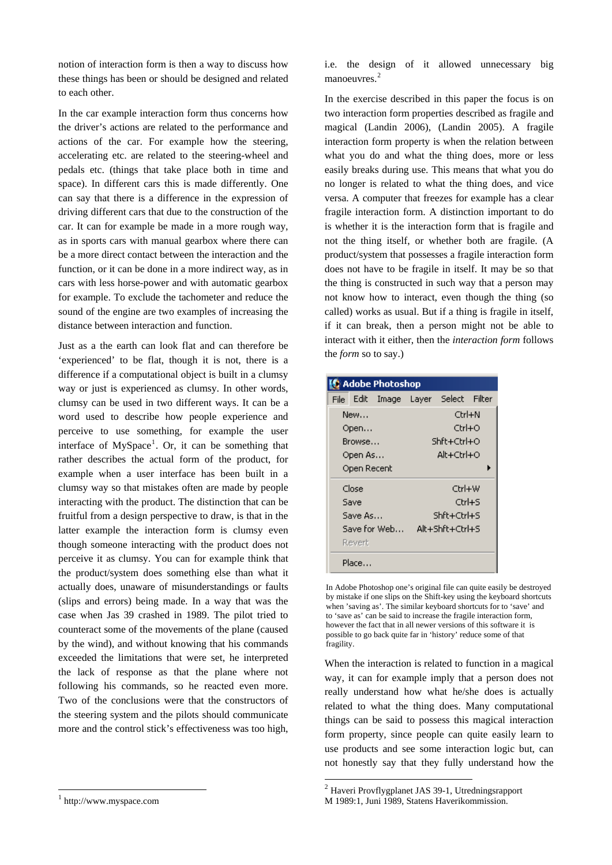notion of interaction form is then a way to discuss how these things has been or should be designed and related to each other.

In the car example interaction form thus concerns how the driver's actions are related to the performance and actions of the car. For example how the steering, accelerating etc. are related to the steering-wheel and pedals etc. (things that take place both in time and space). In different cars this is made differently. One can say that there is a difference in the expression of driving different cars that due to the construction of the car. It can for example be made in a more rough way, as in sports cars with manual gearbox where there can be a more direct contact between the interaction and the function, or it can be done in a more indirect way, as in cars with less horse-power and with automatic gearbox for example. To exclude the tachometer and reduce the sound of the engine are two examples of increasing the distance between interaction and function.

Just as a the earth can look flat and can therefore be 'experienced' to be flat, though it is not, there is a difference if a computational object is built in a clumsy way or just is experienced as clumsy. In other words, clumsy can be used in two different ways. It can be a word used to describe how people experience and perceive to use something, for example the user interface of  $MySpace<sup>1</sup>$  $MySpace<sup>1</sup>$  $MySpace<sup>1</sup>$ . Or, it can be something that rather describes the actual form of the product, for example when a user interface has been built in a clumsy way so that mistakes often are made by people interacting with the product. The distinction that can be fruitful from a design perspective to draw, is that in the latter example the interaction form is clumsy even though someone interacting with the product does not perceive it as clumsy. You can for example think that the product/system does something else than what it actually does, unaware of misunderstandings or faults (slips and errors) being made. In a way that was the case when Jas 39 crashed in 1989. The pilot tried to counteract some of the movements of the plane (caused by the wind), and without knowing that his commands exceeded the limitations that were set, he interpreted the lack of response as that the plane where not following his commands, so he reacted even more. Two of the conclusions were that the constructors of the steering system and the pilots should communicate more and the control stick's effectiveness was too high,

<span id="page-1-1"></span><span id="page-1-0"></span>1 http://www.myspace.com

l

i.e. the design of it allowed unnecessary big manoeuvres.<sup>[2](#page-1-1)</sup>

In the exercise described in this paper the focus is on two interaction form properties described as fragile and magical (Landin 2006), (Landin 2005). A fragile interaction form property is when the relation between what you do and what the thing does, more or less easily breaks during use. This means that what you do no longer is related to what the thing does, and vice versa. A computer that freezes for example has a clear fragile interaction form. A distinction important to do is whether it is the interaction form that is fragile and not the thing itself, or whether both are fragile. (A product/system that possesses a fragile interaction form does not have to be fragile in itself. It may be so that the thing is constructed in such way that a person may not know how to interact, even though the thing (so called) works as usual. But if a thing is fragile in itself, if it can break, then a person might not be able to interact with it either, then the *interaction form* follows the *form* so to say.)

| <b>Adobe Photoshop</b> |        |                  |                 |               |  |
|------------------------|--------|------------------|-----------------|---------------|--|
| File I                 |        | Edit Image Layer |                 | Select Filter |  |
| New…                   |        |                  | Ctrl+N          |               |  |
| Open                   |        |                  | Ctrl+O          |               |  |
| Browse…                |        |                  | Shft+Ctrl+O     |               |  |
| Open As                |        |                  | Alt+Ctrl+O      |               |  |
| Open Recent            |        |                  |                 |               |  |
| Close                  |        |                  | Ctrl+W          |               |  |
| Save                   |        |                  | Ctrl+S          |               |  |
| Save As                |        |                  | Shft+Ctrl+S     |               |  |
| Save for Web           |        |                  | Alt+Shft+Ctrl+S |               |  |
| Revert                 |        |                  |                 |               |  |
|                        | Place… |                  |                 |               |  |

In Adobe Photoshop one's original file can quite easily be destroyed by mistake if one slips on the Shift-key using the keyboard shortcuts when 'saving as'. The similar keyboard shortcuts for to 'save' and to 'save as' can be said to increase the fragile interaction form, however the fact that in all newer versions of this software it is possible to go back quite far in 'history' reduce some of that fragility.

When the interaction is related to function in a magical way, it can for example imply that a person does not really understand how what he/she does is actually related to what the thing does. Many computational things can be said to possess this magical interaction form property, since people can quite easily learn to use products and see some interaction logic but, can not honestly say that they fully understand how the

1

<sup>2</sup> Haveri Provflygplanet JAS 39-1, Utredningsrapport M 1989:1, Juni 1989, Statens Haverikommission.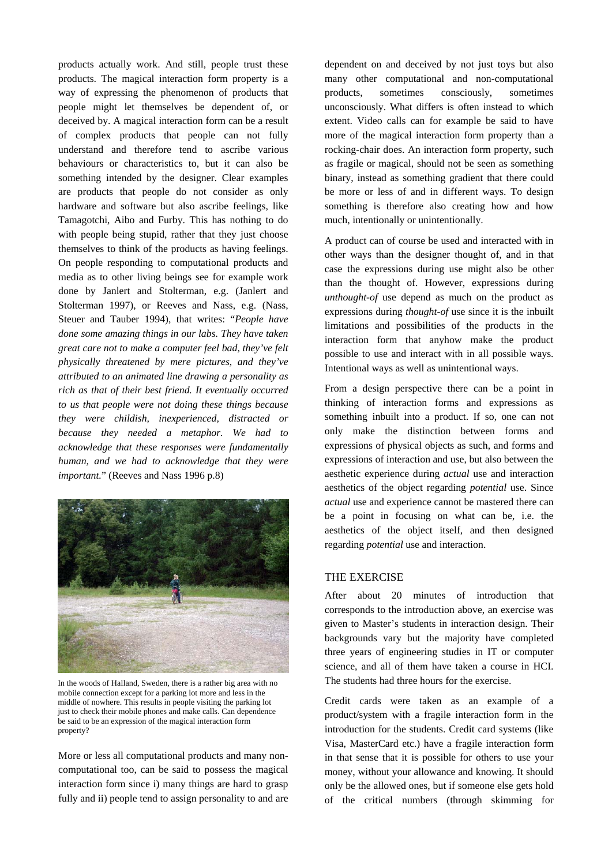products actually work. And still, people trust these products. The magical interaction form property is a way of expressing the phenomenon of products that people might let themselves be dependent of, or deceived by. A magical interaction form can be a result of complex products that people can not fully understand and therefore tend to ascribe various behaviours or characteristics to, but it can also be something intended by the designer. Clear examples are products that people do not consider as only hardware and software but also ascribe feelings, like Tamagotchi, Aibo and Furby. This has nothing to do with people being stupid, rather that they just choose themselves to think of the products as having feelings. On people responding to computational products and media as to other living beings see for example work done by Janlert and Stolterman, e.g. (Janlert and Stolterman 1997), or Reeves and Nass, e.g. (Nass, Steuer and Tauber 1994), that writes: "*People have done some amazing things in our labs. They have taken great care not to make a computer feel bad, they've felt physically threatened by mere pictures, and they've attributed to an animated line drawing a personality as rich as that of their best friend. It eventually occurred to us that people were not doing these things because they were childish, inexperienced, distracted or because they needed a metaphor. We had to acknowledge that these responses were fundamentally human, and we had to acknowledge that they were important.*" (Reeves and Nass 1996 p.8)



In the woods of Halland, Sweden, there is a rather big area with no mobile connection except for a parking lot more and less in the middle of nowhere. This results in people visiting the parking lot just to check their mobile phones and make calls. Can dependence be said to be an expression of the magical interaction form property?

More or less all computational products and many noncomputational too, can be said to possess the magical interaction form since i) many things are hard to grasp fully and ii) people tend to assign personality to and are dependent on and deceived by not just toys but also many other computational and non-computational products, sometimes consciously, sometimes unconsciously. What differs is often instead to which extent. Video calls can for example be said to have more of the magical interaction form property than a rocking-chair does. An interaction form property, such as fragile or magical, should not be seen as something binary, instead as something gradient that there could be more or less of and in different ways. To design something is therefore also creating how and how much, intentionally or unintentionally.

A product can of course be used and interacted with in other ways than the designer thought of, and in that case the expressions during use might also be other than the thought of. However, expressions during *unthought-of* use depend as much on the product as expressions during *thought-of* use since it is the inbuilt limitations and possibilities of the products in the interaction form that anyhow make the product possible to use and interact with in all possible ways. Intentional ways as well as unintentional ways.

From a design perspective there can be a point in thinking of interaction forms and expressions as something inbuilt into a product. If so, one can not only make the distinction between forms and expressions of physical objects as such, and forms and expressions of interaction and use, but also between the aesthetic experience during *actual* use and interaction aesthetics of the object regarding *potential* use. Since *actual* use and experience cannot be mastered there can be a point in focusing on what can be, i.e. the aesthetics of the object itself, and then designed regarding *potential* use and interaction.

## THE EXERCISE

After about 20 minutes of introduction that corresponds to the introduction above, an exercise was given to Master's students in interaction design. Their backgrounds vary but the majority have completed three years of engineering studies in IT or computer science, and all of them have taken a course in HCI. The students had three hours for the exercise.

Credit cards were taken as an example of a product/system with a fragile interaction form in the introduction for the students. Credit card systems (like Visa, MasterCard etc.) have a fragile interaction form in that sense that it is possible for others to use your money, without your allowance and knowing. It should only be the allowed ones, but if someone else gets hold of the critical numbers (through skimming for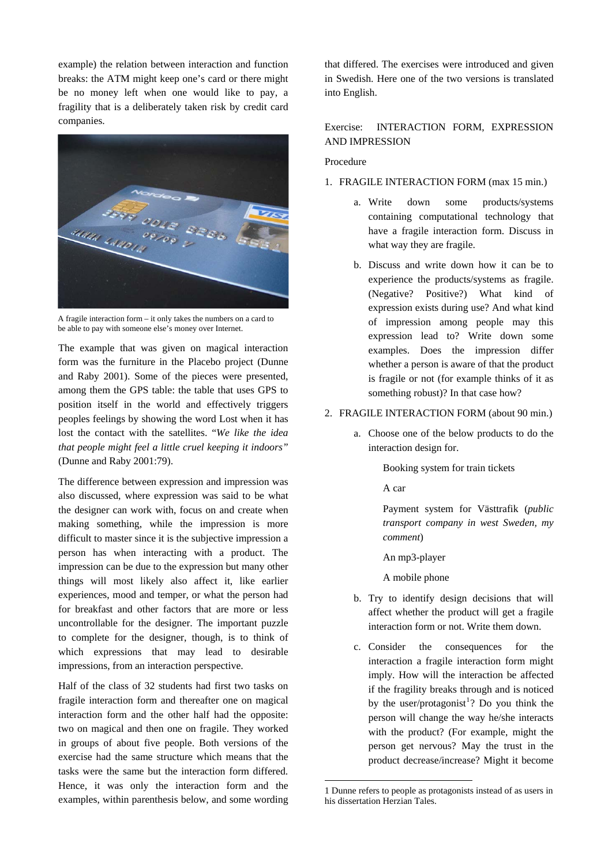example) the relation between interaction and function breaks: the ATM might keep one's card or there might be no money left when one would like to pay, a fragility that is a deliberately taken risk by credit card companies.



A fragile interaction form – it only takes the numbers on a card to be able to pay with someone else's money over Internet.

The example that was given on magical interaction form was the furniture in the Placebo project (Dunne and Raby 2001). Some of the pieces were presented, among them the GPS table: the table that uses GPS to position itself in the world and effectively triggers peoples feelings by showing the word Lost when it has lost the contact with the satellites. "*We like the idea that people might feel a little cruel keeping it indoors"* (Dunne and Raby 2001:79).

The difference between expression and impression was also discussed, where expression was said to be what the designer can work with, focus on and create when making something, while the impression is more difficult to master since it is the subjective impression a person has when interacting with a product. The impression can be due to the expression but many other things will most likely also affect it, like earlier experiences, mood and temper, or what the person had for breakfast and other factors that are more or less uncontrollable for the designer. The important puzzle to complete for the designer, though, is to think of which expressions that may lead to desirable impressions, from an interaction perspective.

<span id="page-3-0"></span>Half of the class of 32 students had first two tasks on fragile interaction form and thereafter one on magical interaction form and the other half had the opposite: two on magical and then one on fragile. They worked in groups of about five people. Both versions of the exercise had the same structure which means that the tasks were the same but the interaction form differed. Hence, it was only the interaction form and the examples, within parenthesis below, and some wording that differed. The exercises were introduced and given in Swedish. Here one of the two versions is translated into English.

## Exercise: INTERACTION FORM, EXPRESSION AND IMPRESSION

## Procedure

- 1. FRAGILE INTERACTION FORM (max 15 min.)
	- a. Write down some products/systems containing computational technology that have a fragile interaction form. Discuss in what way they are fragile.
	- b. Discuss and write down how it can be to experience the products/systems as fragile. (Negative? Positive?) What kind of expression exists during use? And what kind of impression among people may this expression lead to? Write down some examples. Does the impression differ whether a person is aware of that the product is fragile or not (for example thinks of it as something robust)? In that case how?

#### 2. FRAGILE INTERACTION FORM (about 90 min.)

a. Choose one of the below products to do the interaction design for.

Booking system for train tickets

A car

 Payment system for Västtrafik (*public transport company in west Sweden, my comment*)

An mp3-player

A mobile phone

- b. Try to identify design decisions that will affect whether the product will get a fragile interaction form or not. Write them down.
- c. Consider the consequences for the interaction a fragile interaction form might imply. How will the interaction be affected if the fragility breaks through and is noticed by the user/protagonist<sup>[1](#page-3-0)</sup>? Do you think the person will change the way he/she interacts with the product? (For example, might the person get nervous? May the trust in the product decrease/increase? Might it become

1

<sup>1</sup> Dunne refers to people as protagonists instead of as users in his dissertation Herzian Tales.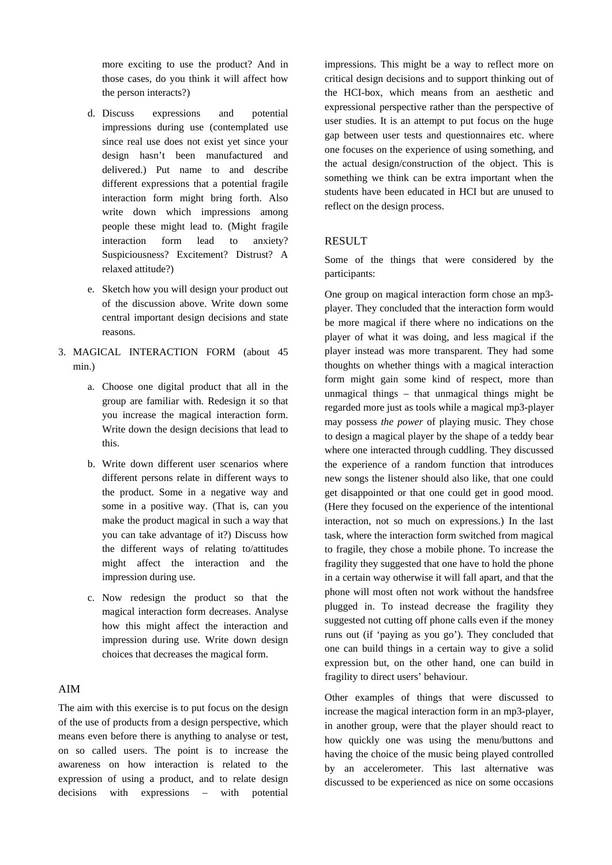more exciting to use the product? And in those cases, do you think it will affect how the person interacts?)

- d. Discuss expressions and potential impressions during use (contemplated use since real use does not exist yet since your design hasn't been manufactured and delivered.) Put name to and describe different expressions that a potential fragile interaction form might bring forth. Also write down which impressions among people these might lead to. (Might fragile interaction form lead to anxiety? Suspiciousness? Excitement? Distrust? A relaxed attitude?)
- e. Sketch how you will design your product out of the discussion above. Write down some central important design decisions and state reasons.
- 3. MAGICAL INTERACTION FORM (about 45 min.)
	- a. Choose one digital product that all in the group are familiar with. Redesign it so that you increase the magical interaction form. Write down the design decisions that lead to this.
	- b. Write down different user scenarios where different persons relate in different ways to the product. Some in a negative way and some in a positive way. (That is, can you make the product magical in such a way that you can take advantage of it?) Discuss how the different ways of relating to/attitudes might affect the interaction and the impression during use.
	- c. Now redesign the product so that the magical interaction form decreases. Analyse how this might affect the interaction and impression during use. Write down design choices that decreases the magical form.

## AIM

The aim with this exercise is to put focus on the design of the use of products from a design perspective, which means even before there is anything to analyse or test, on so called users. The point is to increase the awareness on how interaction is related to the expression of using a product, and to relate design decisions with expressions – with potential impressions. This might be a way to reflect more on critical design decisions and to support thinking out of the HCI-box, which means from an aesthetic and expressional perspective rather than the perspective of user studies. It is an attempt to put focus on the huge gap between user tests and questionnaires etc. where one focuses on the experience of using something, and the actual design/construction of the object. This is something we think can be extra important when the students have been educated in HCI but are unused to reflect on the design process.

## RESULT

Some of the things that were considered by the participants:

One group on magical interaction form chose an mp3 player. They concluded that the interaction form would be more magical if there where no indications on the player of what it was doing, and less magical if the player instead was more transparent. They had some thoughts on whether things with a magical interaction form might gain some kind of respect, more than unmagical things – that unmagical things might be regarded more just as tools while a magical mp3-player may possess *the power* of playing music. They chose to design a magical player by the shape of a teddy bear where one interacted through cuddling. They discussed the experience of a random function that introduces new songs the listener should also like, that one could get disappointed or that one could get in good mood. (Here they focused on the experience of the intentional interaction, not so much on expressions.) In the last task, where the interaction form switched from magical to fragile, they chose a mobile phone. To increase the fragility they suggested that one have to hold the phone in a certain way otherwise it will fall apart, and that the phone will most often not work without the handsfree plugged in. To instead decrease the fragility they suggested not cutting off phone calls even if the money runs out (if 'paying as you go'). They concluded that one can build things in a certain way to give a solid expression but, on the other hand, one can build in fragility to direct users' behaviour.

Other examples of things that were discussed to increase the magical interaction form in an mp3-player, in another group, were that the player should react to how quickly one was using the menu/buttons and having the choice of the music being played controlled by an accelerometer. This last alternative was discussed to be experienced as nice on some occasions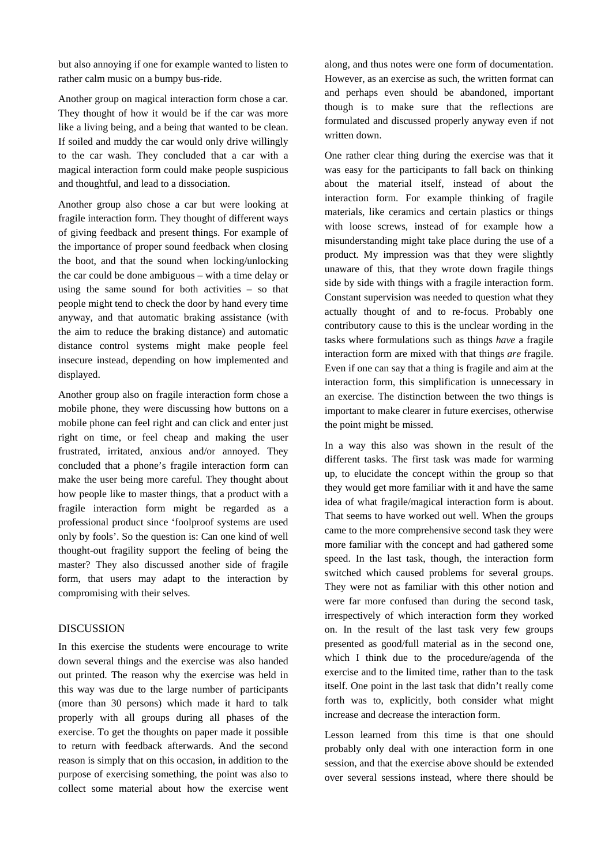but also annoying if one for example wanted to listen to rather calm music on a bumpy bus-ride.

Another group on magical interaction form chose a car. They thought of how it would be if the car was more like a living being, and a being that wanted to be clean. If soiled and muddy the car would only drive willingly to the car wash. They concluded that a car with a magical interaction form could make people suspicious and thoughtful, and lead to a dissociation.

Another group also chose a car but were looking at fragile interaction form. They thought of different ways of giving feedback and present things. For example of the importance of proper sound feedback when closing the boot, and that the sound when locking/unlocking the car could be done ambiguous – with a time delay or using the same sound for both activities – so that people might tend to check the door by hand every time anyway, and that automatic braking assistance (with the aim to reduce the braking distance) and automatic distance control systems might make people feel insecure instead, depending on how implemented and displayed.

Another group also on fragile interaction form chose a mobile phone, they were discussing how buttons on a mobile phone can feel right and can click and enter just right on time, or feel cheap and making the user frustrated, irritated, anxious and/or annoyed. They concluded that a phone's fragile interaction form can make the user being more careful. They thought about how people like to master things, that a product with a fragile interaction form might be regarded as a professional product since 'foolproof systems are used only by fools'. So the question is: Can one kind of well thought-out fragility support the feeling of being the master? They also discussed another side of fragile form, that users may adapt to the interaction by compromising with their selves.

### DISCUSSION

In this exercise the students were encourage to write down several things and the exercise was also handed out printed. The reason why the exercise was held in this way was due to the large number of participants (more than 30 persons) which made it hard to talk properly with all groups during all phases of the exercise. To get the thoughts on paper made it possible to return with feedback afterwards. And the second reason is simply that on this occasion, in addition to the purpose of exercising something, the point was also to collect some material about how the exercise went along, and thus notes were one form of documentation. However, as an exercise as such, the written format can and perhaps even should be abandoned, important though is to make sure that the reflections are formulated and discussed properly anyway even if not written down.

One rather clear thing during the exercise was that it was easy for the participants to fall back on thinking about the material itself, instead of about the interaction form. For example thinking of fragile materials, like ceramics and certain plastics or things with loose screws, instead of for example how a misunderstanding might take place during the use of a product. My impression was that they were slightly unaware of this, that they wrote down fragile things side by side with things with a fragile interaction form. Constant supervision was needed to question what they actually thought of and to re-focus. Probably one contributory cause to this is the unclear wording in the tasks where formulations such as things *have* a fragile interaction form are mixed with that things *are* fragile. Even if one can say that a thing is fragile and aim at the interaction form, this simplification is unnecessary in an exercise. The distinction between the two things is important to make clearer in future exercises, otherwise the point might be missed.

In a way this also was shown in the result of the different tasks. The first task was made for warming up, to elucidate the concept within the group so that they would get more familiar with it and have the same idea of what fragile/magical interaction form is about. That seems to have worked out well. When the groups came to the more comprehensive second task they were more familiar with the concept and had gathered some speed. In the last task, though, the interaction form switched which caused problems for several groups. They were not as familiar with this other notion and were far more confused than during the second task, irrespectively of which interaction form they worked on. In the result of the last task very few groups presented as good/full material as in the second one, which I think due to the procedure/agenda of the exercise and to the limited time, rather than to the task itself. One point in the last task that didn't really come forth was to, explicitly, both consider what might increase and decrease the interaction form.

Lesson learned from this time is that one should probably only deal with one interaction form in one session, and that the exercise above should be extended over several sessions instead, where there should be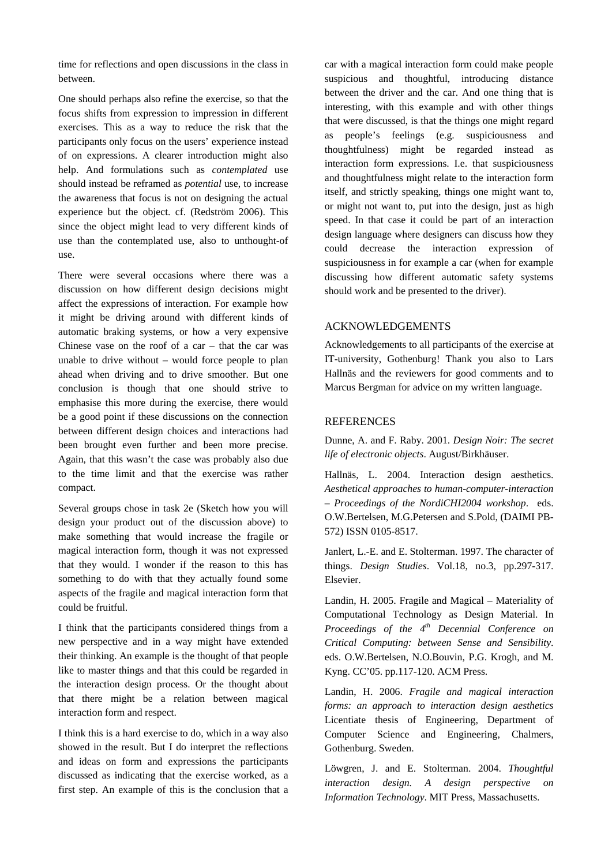time for reflections and open discussions in the class in between.

One should perhaps also refine the exercise, so that the focus shifts from expression to impression in different exercises. This as a way to reduce the risk that the participants only focus on the users' experience instead of on expressions. A clearer introduction might also help. And formulations such as *contemplated* use should instead be reframed as *potential* use, to increase the awareness that focus is not on designing the actual experience but the object. cf. (Redström 2006). This since the object might lead to very different kinds of use than the contemplated use, also to unthought-of use.

There were several occasions where there was a discussion on how different design decisions might affect the expressions of interaction. For example how it might be driving around with different kinds of automatic braking systems, or how a very expensive Chinese vase on the roof of a car  $-$  that the car was unable to drive without – would force people to plan ahead when driving and to drive smoother. But one conclusion is though that one should strive to emphasise this more during the exercise, there would be a good point if these discussions on the connection between different design choices and interactions had been brought even further and been more precise. Again, that this wasn't the case was probably also due to the time limit and that the exercise was rather compact.

Several groups chose in task 2e (Sketch how you will design your product out of the discussion above) to make something that would increase the fragile or magical interaction form, though it was not expressed that they would. I wonder if the reason to this has something to do with that they actually found some aspects of the fragile and magical interaction form that could be fruitful.

I think that the participants considered things from a new perspective and in a way might have extended their thinking. An example is the thought of that people like to master things and that this could be regarded in the interaction design process. Or the thought about that there might be a relation between magical interaction form and respect.

I think this is a hard exercise to do, which in a way also showed in the result. But I do interpret the reflections and ideas on form and expressions the participants discussed as indicating that the exercise worked, as a first step. An example of this is the conclusion that a car with a magical interaction form could make people suspicious and thoughtful, introducing distance between the driver and the car. And one thing that is interesting, with this example and with other things that were discussed, is that the things one might regard as people's feelings (e.g. suspiciousness and thoughtfulness) might be regarded instead as interaction form expressions. I.e. that suspiciousness and thoughtfulness might relate to the interaction form itself, and strictly speaking, things one might want to, or might not want to, put into the design, just as high speed. In that case it could be part of an interaction design language where designers can discuss how they could decrease the interaction expression of suspiciousness in for example a car (when for example discussing how different automatic safety systems should work and be presented to the driver).

### ACKNOWLEDGEMENTS

Acknowledgements to all participants of the exercise at IT-university, Gothenburg! Thank you also to Lars Hallnäs and the reviewers for good comments and to Marcus Bergman for advice on my written language.

#### **REFERENCES**

Dunne, A. and F. Raby. 2001. *Design Noir: The secret life of electronic objects*. August/Birkhäuser.

Hallnäs, L. 2004. Interaction design aesthetics. *Aesthetical approaches to human-computer-interaction – Proceedings of the NordiCHI2004 workshop*. eds. O.W.Bertelsen, M.G.Petersen and S.Pold, (DAIMI PB-572) ISSN 0105-8517.

Janlert, L.-E. and E. Stolterman. 1997. The character of things. *Design Studies*. Vol.18, no.3, pp.297-317. Elsevier.

Landin, H. 2005. Fragile and Magical – Materiality of Computational Technology as Design Material. In *Proceedings of the 4th Decennial Conference on Critical Computing: between Sense and Sensibility*. eds. O.W.Bertelsen, N.O.Bouvin, P.G. Krogh, and M. Kyng. CC'05. pp.117-120. ACM Press.

Landin, H. 2006. *Fragile and magical interaction forms: an approach to interaction design aesthetics*  Licentiate thesis of Engineering, Department of Computer Science and Engineering, Chalmers, Gothenburg. Sweden.

Löwgren, J. and E. Stolterman. 2004. *Thoughtful interaction design. A design perspective on Information Technology*. MIT Press, Massachusetts.